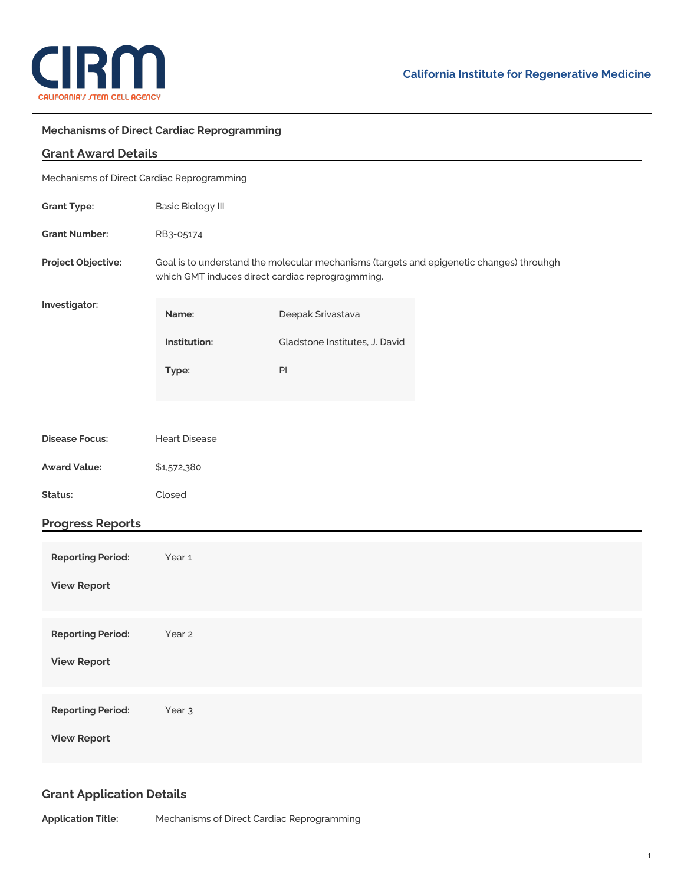

## **Mechanisms of Direct Cardiac Reprogramming**

| <b>Grant Award Details</b>                 |                                                                                                                                              |                                |  |
|--------------------------------------------|----------------------------------------------------------------------------------------------------------------------------------------------|--------------------------------|--|
| Mechanisms of Direct Cardiac Reprogramming |                                                                                                                                              |                                |  |
| <b>Grant Type:</b>                         | <b>Basic Biology III</b>                                                                                                                     |                                |  |
| <b>Grant Number:</b>                       | RB3-05174                                                                                                                                    |                                |  |
| Project Objective:                         | Goal is to understand the molecular mechanisms (targets and epigenetic changes) throuhgh<br>which GMT induces direct cardiac reprogragmming. |                                |  |
| Investigator:                              | Name:                                                                                                                                        | Deepak Srivastava              |  |
|                                            | Institution:                                                                                                                                 | Gladstone Institutes, J. David |  |
|                                            | Type:                                                                                                                                        | PI                             |  |
|                                            |                                                                                                                                              |                                |  |
| <b>Disease Focus:</b>                      | <b>Heart Disease</b>                                                                                                                         |                                |  |
| <b>Award Value:</b>                        | \$1,572,380                                                                                                                                  |                                |  |
| Status:                                    | Closed                                                                                                                                       |                                |  |
| <b>Progress Reports</b>                    |                                                                                                                                              |                                |  |
| <b>Reporting Period:</b>                   | Year 1                                                                                                                                       |                                |  |
| <b>View Report</b>                         |                                                                                                                                              |                                |  |
|                                            |                                                                                                                                              |                                |  |
| <b>Reporting Period:</b>                   | Year 2                                                                                                                                       |                                |  |
| <b>View Report</b>                         |                                                                                                                                              |                                |  |
| <b>Reporting Period:</b>                   | Year <sub>3</sub>                                                                                                                            |                                |  |
| <b>View Report</b>                         |                                                                                                                                              |                                |  |
|                                            |                                                                                                                                              |                                |  |
|                                            |                                                                                                                                              |                                |  |

## **Grant Application Details**

**Application Title:** Mechanisms of Direct Cardiac Reprogramming